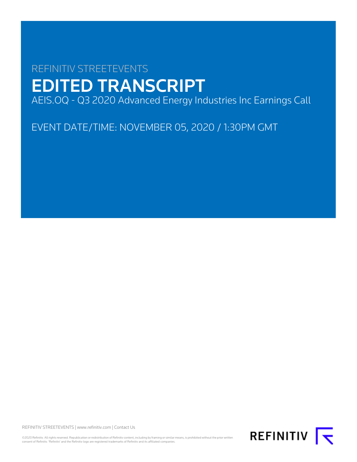# REFINITIV STREETEVENTS EDITED TRANSCRIPT AEIS.OQ - Q3 2020 Advanced Energy Industries Inc Earnings Call

EVENT DATE/TIME: NOVEMBER 05, 2020 / 1:30PM GMT

REFINITIV STREETEVENTS | [www.refinitiv.com](https://www.refinitiv.com/) | [Contact Us](https://www.refinitiv.com/en/contact-us)

©2020 Refinitiv. All rights reserved. Republication or redistribution of Refinitiv content, including by framing or similar means, is prohibited without the prior written consent of Refinitiv. 'Refinitiv' and the Refinitiv logo are registered trademarks of Refinitiv and its affiliated companies.

REFINITIV **I**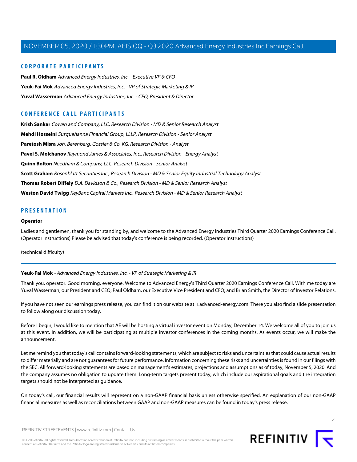### **CORPORATE PARTICIPANTS**

**[Paul R. Oldham](#page-4-0)** Advanced Energy Industries, Inc. - Executive VP & CFO **[Yeuk-Fai Mok](#page-1-0)** Advanced Energy Industries, Inc. - VP of Strategic Marketing & IR **[Yuval Wasserman](#page-2-0)** Advanced Energy Industries, Inc. - CEO, President & Director

### **CONFERENCE CALL PARTICIPANTS**

**[Krish Sankar](#page-13-0)** Cowen and Company, LLC, Research Division - MD & Senior Research Analyst **[Mehdi Hosseini](#page-9-0)** Susquehanna Financial Group, LLLP, Research Division - Senior Analyst **[Paretosh Misra](#page-7-0)** Joh. Berenberg, Gossler & Co. KG, Research Division - Analyst **[Pavel S. Molchanov](#page-12-0)** Raymond James & Associates, Inc., Research Division - Energy Analyst **[Quinn Bolton](#page-8-0)** Needham & Company, LLC, Research Division - Senior Analyst **[Scott Graham](#page-6-0)** Rosenblatt Securities Inc., Research Division - MD & Senior Equity Industrial Technology Analyst **[Thomas Robert Diffely](#page-11-0)** D.A. Davidson & Co., Research Division - MD & Senior Research Analyst **[Weston David Twigg](#page-14-0)** KeyBanc Capital Markets Inc., Research Division - MD & Senior Research Analyst

### **PRESENTATION**

#### **Operator**

Ladies and gentlemen, thank you for standing by, and welcome to the Advanced Energy Industries Third Quarter 2020 Earnings Conference Call. (Operator Instructions) Please be advised that today's conference is being recorded. (Operator Instructions)

<span id="page-1-0"></span>(technical difficulty)

### **Yeuk-Fai Mok** - Advanced Energy Industries, Inc. - VP of Strategic Marketing & IR

Thank you, operator. Good morning, everyone. Welcome to Advanced Energy's Third Quarter 2020 Earnings Conference Call. With me today are Yuval Wasserman, our President and CEO; Paul Oldham, our Executive Vice President and CFO; and Brian Smith, the Director of Investor Relations.

If you have not seen our earnings press release, you can find it on our website at ir.advanced-energy.com. There you also find a slide presentation to follow along our discussion today.

Before I begin, I would like to mention that AE will be hosting a virtual investor event on Monday, December 14. We welcome all of you to join us at this event. In addition, we will be participating at multiple investor conferences in the coming months. As events occur, we will make the announcement.

Let me remind you that today's call contains forward-looking statements, which are subject to risks and uncertainties that could cause actual results to differ materially and are not guarantees for future performance. Information concerning these risks and uncertainties is found in our filings with the SEC. All forward-looking statements are based on management's estimates, projections and assumptions as of today, November 5, 2020. And the company assumes no obligation to update them. Long-term targets present today, which include our aspirational goals and the integration targets should not be interpreted as guidance.

On today's call, our financial results will represent on a non-GAAP financial basis unless otherwise specified. An explanation of our non-GAAP financial measures as well as reconciliations between GAAP and non-GAAP measures can be found in today's press release.

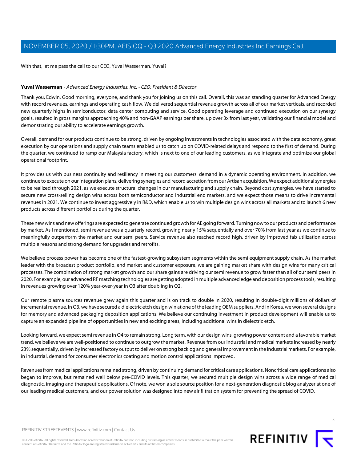With that, let me pass the call to our CEO, Yuval Wasserman. Yuval?

### <span id="page-2-0"></span>**Yuval Wasserman** - Advanced Energy Industries, Inc. - CEO, President & Director

Thank you, Edwin. Good morning, everyone, and thank you for joining us on this call. Overall, this was an standing quarter for Advanced Energy with record revenues, earnings and operating cash flow. We delivered sequential revenue growth across all of our market verticals, and recorded new quarterly highs in semiconductor, data center computing and service. Good operating leverage and continued execution on our synergy goals, resulted in gross margins approaching 40% and non-GAAP earnings per share, up over 3x from last year, validating our financial model and demonstrating our ability to accelerate earnings growth.

Overall, demand for our products continue to be strong, driven by ongoing investments in technologies associated with the data economy, great execution by our operations and supply chain teams enabled us to catch up on COVID-related delays and respond to the first of demand. During the quarter, we continued to ramp our Malaysia factory, which is next to one of our leading customers, as we integrate and optimize our global operational footprint.

It provides us with business continuity and resiliency in meeting our customers' demand in a dynamic operating environment. In addition, we continue to execute on our integration plans, delivering synergies and record accretion from our Artisan acquisition. We expect additional synergies to be realized through 2021, as we execute structural changes in our manufacturing and supply chain. Beyond cost synergies, we have started to secure new cross-selling design wins across both semiconductor and industrial end markets, and we expect those means to drive incremental revenues in 2021. We continue to invest aggressively in R&D, which enable us to win multiple design wins across all markets and to launch 6 new products across different portfolios during the quarter.

These new wins and new offerings are expected to generate continued growth for AE going forward. Turning now to our products and performance by market. As I mentioned, semi revenue was a quarterly record, growing nearly 15% sequentially and over 70% from last year as we continue to meaningfully outperform the market and our semi peers. Service revenue also reached record high, driven by improved fab utilization across multiple reasons and strong demand for upgrades and retrofits.

We believe process power has become one of the fastest-growing subsystem segments within the semi equipment supply chain. As the market leader with the broadest product portfolio, end market and customer exposure, we are gaining market share with design wins for many critical processes. The combination of strong market growth and our share gains are driving our semi revenue to grow faster than all of our semi peers in 2020. For example, our advanced RF matching technologies are getting adopted in multiple advanced edge and deposition process tools, resulting in revenues growing over 120% year-over-year in Q3 after doubling in Q2.

Our remote plasma sources revenue grew again this quarter and is on track to double in 2020, resulting in double-digit millions of dollars of incremental revenue. In Q3, we have secured a dielectric etch design win at one of the leading OEM suppliers. And in Korea, we won several designs for memory and advanced packaging deposition applications. We believe our continuing investment in product development will enable us to capture an expanded pipeline of opportunities in new and exciting areas, including additional wins in dielectric etch.

Looking forward, we expect semi revenue in Q4 to remain strong. Long term, with our design wins, growing power content and a favorable market trend, we believe we are well-positioned to continue to outgrow the market. Revenue from our industrial and medical markets increased by nearly 23% sequentially, driven by increased factory output to deliver on strong backlog and general improvement in the industrial markets. For example, in industrial, demand for consumer electronics coating and motion control applications improved.

Revenues from medical applications remained strong, driven by continuing demand for critical care applications. Noncritical care applications also began to improve, but remained well below pre-COVID levels. This quarter, we secured multiple design wins across a wide range of medical diagnostic, imaging and therapeutic applications. Of note, we won a sole source position for a next-generation diagnostic blog analyzer at one of our leading medical customers, and our power solution was designed into new air filtration system for preventing the spread of COVID.

©2020 Refinitiv. All rights reserved. Republication or redistribution of Refinitiv content, including by framing or similar means, is prohibited without the prior written consent of Refinitiv. 'Refinitiv' and the Refinitiv logo are registered trademarks of Refinitiv and its affiliated companies.



3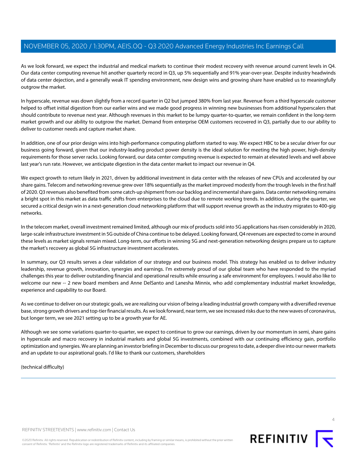As we look forward, we expect the industrial and medical markets to continue their modest recovery with revenue around current levels in Q4. Our data center computing revenue hit another quarterly record in Q3, up 5% sequentially and 91% year-over-year. Despite industry headwinds of data center dejection, and a generally weak IT spending environment, new design wins and growing share have enabled us to meaningfully outgrow the market.

In hyperscale, revenue was down slightly from a record quarter in Q2 but jumped 380% from last year. Revenue from a third hyperscale customer helped to offset initial digestion from our earlier wins and we made good progress in winning new businesses from additional hyperscalers that should contribute to revenue next year. Although revenues in this market to be lumpy quarter-to-quarter, we remain confident in the long-term market growth and our ability to outgrow the market. Demand from enterprise OEM customers recovered in Q3, partially due to our ability to deliver to customer needs and capture market share.

In addition, one of our prior design wins into high-performance computing platform started to way. We expect HBC to be a secular driver for our business going forward, given that our industry-leading product power density is the ideal solution for meeting the high power, high-density requirements for those server racks. Looking forward, our data center computing revenue is expected to remain at elevated levels and well above last year's run rate. However, we anticipate digestion in the data center market to impact our revenue in Q4.

We expect growth to return likely in 2021, driven by additional investment in data center with the releases of new CPUs and accelerated by our share gains. Telecom and networking revenue grew over 18% sequentially as the market improved modestly from the trough levels in the first half of 2020. Q3 revenues also benefited from some catch-up shipment from our backlog and incremental share gains. Data center networking remains a bright spot in this market as data traffic shifts from enterprises to the cloud due to remote working trends. In addition, during the quarter, we secured a critical design win in a next-generation cloud networking platform that will support revenue growth as the industry migrates to 400-gig networks.

In the telecom market, overall investment remained limited, although our mix of products sold into 5G applications has risen considerably in 2020, large-scale infrastructure investment in 5G outside of China continue to be delayed. Looking forward, Q4 revenues are expected to come in around these levels as market signals remain mixed. Long-term, our efforts in winning 5G and next-generation networking designs prepare us to capture the market's recovery as global 5G infrastructure investment accelerates.

In summary, our Q3 results serves a clear validation of our strategy and our business model. This strategy has enabled us to deliver industry leadership, revenue growth, innovation, synergies and earnings. I'm extremely proud of our global team who have responded to the myriad challenges this year to deliver outstanding financial and operational results while ensuring a safe environment for employees. I would also like to welcome our new -- 2 new board members and Anne DelSanto and Lanesha Minnix, who add complementary industrial market knowledge, experience and capability to our Board.

As we continue to deliver on our strategic goals, we are realizing our vision of being a leading industrial growth company with a diversified revenue base, strong growth drivers and top-tier financial results. As we look forward, near term, we see increased risks due to the new waves of coronavirus, but longer term, we see 2021 setting up to be a growth year for AE.

Although we see some variations quarter-to-quarter, we expect to continue to grow our earnings, driven by our momentum in semi, share gains in hyperscale and macro recovery in industrial markets and global 5G investments, combined with our continuing efficiency gain, portfolio optimization and synergies. We are planning an investor briefing in December to discuss our progress to date, a deeper dive into our newer markets and an update to our aspirational goals. I'd like to thank our customers, shareholders

(technical difficulty)



REFINITIV STREETEVENTS | [www.refinitiv.com](https://www.refinitiv.com/) | [Contact Us](https://www.refinitiv.com/en/contact-us)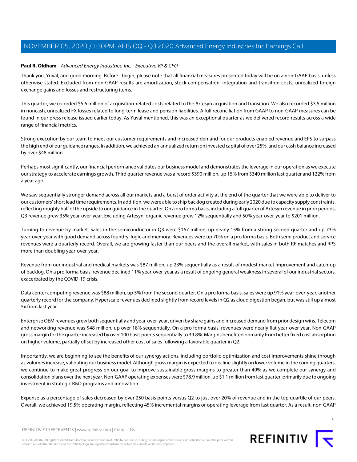### <span id="page-4-0"></span>**Paul R. Oldham** - Advanced Energy Industries, Inc. - Executive VP & CFO

Thank you, Yuval, and good morning. Before I begin, please note that all financial measures presented today will be on a non-GAAP basis, unless otherwise stated. Excluded from non-GAAP results are amortization, stock compensation, integration and transition costs, unrealized foreign exchange gains and losses and restructuring items.

This quarter, we recorded \$5.6 million of acquisition-related costs related to the Artesyn acquisition and transition. We also recorded \$3.5 million in noncash, unrealized FX losses related to long-term lease and pension liabilities. A full reconciliation from GAAP to non-GAAP measures can be found in our press release issued earlier today. As Yuval mentioned, this was an exceptional quarter as we delivered record results across a wide range of financial metrics.

Strong execution by our team to meet our customer requirements and increased demand for our products enabled revenue and EPS to surpass the high end of our guidance ranges. In addition, we achieved an annualized return on invested capital of over 25%, and our cash balance increased by over \$48 million.

Perhaps most significantly, our financial performance validates our business model and demonstrates the leverage in our operation as we execute our strategy to accelerate earnings growth. Third quarter revenue was a record \$390 million, up 15% from \$340 million last quarter and 122% from a year ago.

We saw sequentially stronger demand across all our markets and a burst of order activity at the end of the quarter that we were able to deliver to our customers' short lead time requirements. In addition, we were able to ship backlog created during early 2020 due to capacity supply constraints, reflecting roughly half of the upside to our guidance in the quarter. On a pro forma basis, including a full quarter of Artesyn revenue in prior periods, Q3 revenue grew 35% year-over-year. Excluding Artesyn, organic revenue grew 12% sequentially and 50% year-over-year to \$201 million.

Turning to revenue by market. Sales in the semiconductor in Q3 were \$167 million, up nearly 15% from a strong second quarter and up 73% year-over-year with good demand across foundry, logic and memory. Revenues were up 70% on a pro forma basis. Both semi product and service revenues were a quarterly record. Overall, we are growing faster than our peers and the overall market, with sales in both RF matches and RPS more than doubling year-over-year.

Revenue from our industrial and medical markets was \$87 million, up 23% sequentially as a result of modest market improvement and catch-up of backlog. On a pro forma basis, revenue declined 11% year-over-year as a result of ongoing general weakness in several of our industrial sectors, exacerbated by the COVID-19 crisis.

Data center computing revenue was \$88 million, up 5% from the second quarter. On a pro forma basis, sales were up 91% year-over-year, another quarterly record for the company. Hyperscale revenues declined slightly from record levels in Q2 as cloud digestion began, but was still up almost 5x from last year.

Enterprise OEM revenues grew both sequentially and year-over-year, driven by share gains and increased demand from prior design wins. Telecom and networking revenue was \$48 million, up over 18% sequentially. On a pro forma basis, revenues were nearly flat year-over-year. Non-GAAP gross margin for the quarter increased by over 100 basis points sequentially to 39.8%. Margins benefited primarily from better fixed cost absorption on higher volume, partially offset by increased other cost of sales following a favorable quarter in Q2.

Importantly, we are beginning to see the benefits of our synergy actions, including portfolio optimization and cost improvements shine through as volumes increase, validating our business model. Although gross margin is expected to decline slightly on lower volume in the coming quarters, we continue to make great progress on our goal to improve sustainable gross margins to greater than 40% as we complete our synergy and consolidation plans over the next year. Non-GAAP operating expenses were \$78.9 million, up \$1.1 million from last quarter, primarily due to ongoing investment in strategic R&D programs and innovation.

Expense as a percentage of sales decreased by over 250 basis points versus Q2 to just over 20% of revenue and in the top quartile of our peers. Overall, we achieved 19.5% operating margin, reflecting 45% incremental margins or operating leverage from last quarter. As a result, non-GAAP



©2020 Refinitiv. All rights reserved. Republication or redistribution of Refinitiv content, including by framing or similar means, is prohibited without the prior written consent of Refinitiv. 'Refinitiv' and the Refinitiv logo are registered trademarks of Refinitiv and its affiliated companies.

5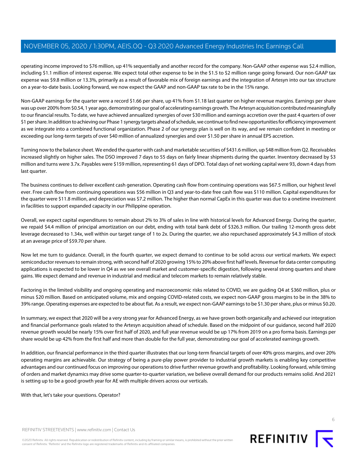operating income improved to \$76 million, up 41% sequentially and another record for the company. Non-GAAP other expense was \$2.4 million, including \$1.1 million of interest expense. We expect total other expense to be in the \$1.5 to \$2 million range going forward. Our non-GAAP tax expense was \$9.8 million or 13.3%, primarily as a result of favorable mix of foreign earnings and the integration of Artesyn into our tax structure on a year-to-date basis. Looking forward, we now expect the GAAP and non-GAAP tax rate to be in the 15% range.

Non-GAAP earnings for the quarter were a record \$1.66 per share, up 41% from \$1.18 last quarter on higher revenue margins. Earnings per share was up over 200% from \$0.54, 1 year ago, demonstrating our goal of accelerating earnings growth. The Artesyn acquisition contributed meaningfully to our financial results. To date, we have achieved annualized synergies of over \$30 million and earnings accretion over the past 4 quarters of over \$1 per share. In addition to achieving our Phase 1 synergy targets ahead of schedule, we continue to find new opportunities for efficiency improvement as we integrate into a combined functional organization. Phase 2 of our synergy plan is well on its way, and we remain confident in meeting or exceeding our long-term targets of over \$40 million of annualized synergies and over \$1.50 per share in annual EPS accretion.

Turning now to the balance sheet. We ended the quarter with cash and marketable securities of \$431.6 million, up \$48 million from Q2. Receivables increased slightly on higher sales. The DSO improved 7 days to 55 days on fairly linear shipments during the quarter. Inventory decreased by \$3 million and turns were 3.7x. Payables were \$159 million, representing 61 days of DPO. Total days of net working capital were 93, down 4 days from last quarter.

The business continues to deliver excellent cash generation. Operating cash flow from continuing operations was \$67.5 million, our highest level ever. Free cash flow from continuing operations was \$56 million in Q3 and year-to-date free cash flow was \$110 million. Capital expenditures for the quarter were \$11.8 million, and depreciation was \$7.2 million. The higher than normal CapEx in this quarter was due to a onetime investment in facilities to support expanded capacity in our Philippine operation.

Overall, we expect capital expenditures to remain about 2% to 3% of sales in line with historical levels for Advanced Energy. During the quarter, we repaid \$4.4 million of principal amortization on our debt, ending with total bank debt of \$326.3 million. Our trailing 12-month gross debt leverage decreased to 1.34x, well within our target range of 1 to 2x. During the quarter, we also repurchased approximately \$4.3 million of stock at an average price of \$59.70 per share.

Now let me turn to guidance. Overall, in the fourth quarter, we expect demand to continue to be solid across our vertical markets. We expect semiconductor revenues to remain strong, with second half of 2020 growing 15% to 20% above first half levels. Revenue for data center computing applications is expected to be lower in Q4 as we see overall market and customer-specific digestion, following several strong quarters and share gains. We expect demand and revenue in industrial and medical and telecom markets to remain relatively stable.

Factoring in the limited visibility and ongoing operating and macroeconomic risks related to COVID, we are guiding Q4 at \$360 million, plus or minus \$20 million. Based on anticipated volume, mix and ongoing COVID-related costs, we expect non-GAAP gross margins to be in the 38% to 39% range. Operating expenses are expected to be about flat. As a result, we expect non-GAAP earnings to be \$1.30 per share, plus or minus \$0.20.

In summary, we expect that 2020 will be a very strong year for Advanced Energy, as we have grown both organically and achieved our integration and financial performance goals related to the Artesyn acquisition ahead of schedule. Based on the midpoint of our guidance, second half 2020 revenue growth would be nearly 15% over first half of 2020, and full year revenue would be up 17% from 2019 on a pro forma basis. Earnings per share would be up 42% from the first half and more than double for the full year, demonstrating our goal of accelerated earnings growth.

In addition, our financial performance in the third quarter illustrates that our long-term financial targets of over 40% gross margins, and over 20% operating margins are achievable. Our strategy of being a pure-play power provider to industrial growth markets is enabling key competitive advantages and our continued focus on improving our operations to drive further revenue growth and profitability. Looking forward, while timing of orders and market dynamics may drive some quarter-to-quarter variation, we believe overall demand for our products remains solid. And 2021 is setting up to be a good growth year for AE with multiple drivers across our verticals.

With that, let's take your questions. Operator?

REFINITIV STREETEVENTS | [www.refinitiv.com](https://www.refinitiv.com/) | [Contact Us](https://www.refinitiv.com/en/contact-us)

©2020 Refinitiv. All rights reserved. Republication or redistribution of Refinitiv content, including by framing or similar means, is prohibited without the prior written consent of Refinitiv. 'Refinitiv' and the Refinitiv logo are registered trademarks of Refinitiv and its affiliated companies.

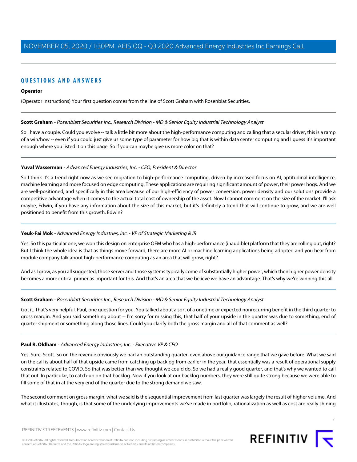# **QUESTIONS AND ANSWERS**

#### **Operator**

<span id="page-6-0"></span>(Operator Instructions) Your first question comes from the line of Scott Graham with Rosenblat Securities.

### **Scott Graham** - Rosenblatt Securities Inc., Research Division - MD & Senior Equity Industrial Technology Analyst

So I have a couple. Could you evolve -- talk a little bit more about the high-performance computing and calling that a secular driver, this is a ramp of a win/how -- even if you could just give us some type of parameter for how big that is within data center computing and I guess it's important enough where you listed it on this page. So if you can maybe give us more color on that?

### **Yuval Wasserman** - Advanced Energy Industries, Inc. - CEO, President & Director

So I think it's a trend right now as we see migration to high-performance computing, driven by increased focus on AI, aptitudinal intelligence, machine learning and more focused on edge computing. These applications are requiring significant amount of power, their power hogs. And we are well-positioned, and specifically in this area because of our high-efficiency of power conversion, power density and our solutions provide a competitive advantage when it comes to the actual total cost of ownership of the asset. Now I cannot comment on the size of the market. I'll ask maybe, Edwin, if you have any information about the size of this market, but it's definitely a trend that will continue to grow, and we are well positioned to benefit from this growth. Edwin?

### **Yeuk-Fai Mok** - Advanced Energy Industries, Inc. - VP of Strategic Marketing & IR

Yes. So this particular one, we won this design on enterprise OEM who has a high-performance (inaudible) platform that they are rolling out, right? But I think the whole idea is that as things move forward, there are more AI or machine learning applications being adopted and you hear from module company talk about high-performance computing as an area that will grow, right?

And as I grow, as you all suggested, those server and those systems typically come of substantially higher power, which then higher power density becomes a more critical primer as important for this. And that's an area that we believe we have an advantage. That's why we're winning this all.

### **Scott Graham** - Rosenblatt Securities Inc., Research Division - MD & Senior Equity Industrial Technology Analyst

Got it. That's very helpful. Paul, one question for you. You talked about a sort of a onetime or expected nonrecurring benefit in the third quarter to gross margin. And you said something about -- I'm sorry for missing this, that half of your upside in the quarter was due to something, end of quarter shipment or something along those lines. Could you clarify both the gross margin and all of that comment as well?

### **Paul R. Oldham** - Advanced Energy Industries, Inc. - Executive VP & CFO

Yes. Sure, Scott. So on the revenue obviously we had an outstanding quarter, even above our guidance range that we gave before. What we said on the call is about half of that upside came from catching up backlog from earlier in the year, that essentially was a result of operational supply constraints related to COVID. So that was better than we thought we could do. So we had a really good quarter, and that's why we wanted to call that out. In particular, to catch-up on that backlog. Now if you look at our backlog numbers, they were still quite strong because we were able to fill some of that in at the very end of the quarter due to the strong demand we saw.

The second comment on gross margin, what we said is the sequential improvement from last quarter was largely the result of higher volume. And what it illustrates, though, is that some of the underlying improvements we've made in portfolio, rationalization as well as cost are really shining



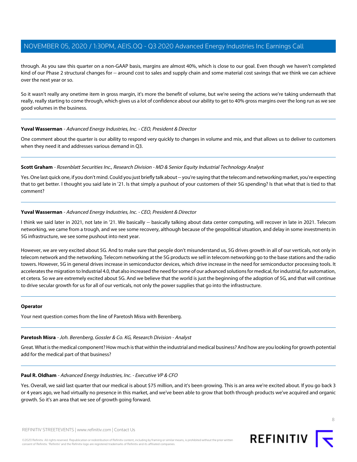through. As you saw this quarter on a non-GAAP basis, margins are almost 40%, which is close to our goal. Even though we haven't completed kind of our Phase 2 structural changes for -- around cost to sales and supply chain and some material cost savings that we think we can achieve over the next year or so.

So it wasn't really any onetime item in gross margin, it's more the benefit of volume, but we're seeing the actions we're taking underneath that really, really starting to come through, which gives us a lot of confidence about our ability to get to 40% gross margins over the long run as we see good volumes in the business.

### **Yuval Wasserman** - Advanced Energy Industries, Inc. - CEO, President & Director

One comment about the quarter is our ability to respond very quickly to changes in volume and mix, and that allows us to deliver to customers when they need it and addresses various demand in Q3.

### **Scott Graham** - Rosenblatt Securities Inc., Research Division - MD & Senior Equity Industrial Technology Analyst

Yes. One last quick one, if you don't mind. Could you just briefly talk about -- you're saying that the telecom and networking market, you're expecting that to get better. I thought you said late in '21. Is that simply a pushout of your customers of their 5G spending? Is that what that is tied to that comment?

### **Yuval Wasserman** - Advanced Energy Industries, Inc. - CEO, President & Director

I think we said later in 2021, not late in '21. We basically -- basically talking about data center computing, will recover in late in 2021. Telecom networking, we came from a trough, and we see some recovery, although because of the geopolitical situation, and delay in some investments in 5G infrastructure, we see some pushout into next year.

However, we are very excited about 5G. And to make sure that people don't misunderstand us, 5G drives growth in all of our verticals, not only in telecom network and the networking. Telecom networking at the 5G products we sell in telecom networking go to the base stations and the radio towers. However, 5G in general drives increase in semiconductor devices, which drive increase in the need for semiconductor processing tools. It accelerates the migration to Industrial 4.0, that also increased the need for some of our advanced solutions for medical, for industrial, for automation, et cetera. So we are extremely excited about 5G. And we believe that the world is just the beginning of the adoption of 5G, and that will continue to drive secular growth for us for all of our verticals, not only the power supplies that go into the infrastructure.

### <span id="page-7-0"></span>**Operator**

Your next question comes from the line of Paretosh Misra with Berenberg.

### **Paretosh Misra** - Joh. Berenberg, Gossler & Co. KG, Research Division - Analyst

Great. What is the medical component? How much is that within the industrial and medical business? And how are you looking for growth potential add for the medical part of that business?

### **Paul R. Oldham** - Advanced Energy Industries, Inc. - Executive VP & CFO

Yes. Overall, we said last quarter that our medical is about \$75 million, and it's been growing. This is an area we're excited about. If you go back 3 or 4 years ago, we had virtually no presence in this market, and we've been able to grow that both through products we've acquired and organic growth. So it's an area that we see of growth going forward.



**REFINITIV**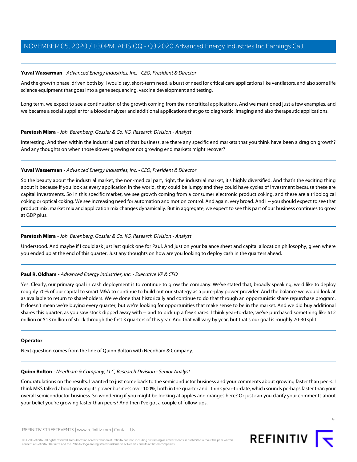### **Yuval Wasserman** - Advanced Energy Industries, Inc. - CEO, President & Director

And the growth phase, driven both by, I would say, short-term need, a burst of need for critical care applications like ventilators, and also some life science equipment that goes into a gene sequencing, vaccine development and testing.

Long term, we expect to see a continuation of the growth coming from the noncritical applications. And we mentioned just a few examples, and we became a social supplier for a blood analyzer and additional applications that go to diagnostic, imaging and also therapeutic applications.

### **Paretosh Misra** - Joh. Berenberg, Gossler & Co. KG, Research Division - Analyst

Interesting. And then within the industrial part of that business, are there any specific end markets that you think have been a drag on growth? And any thoughts on when those slower growing or not growing end markets might recover?

### **Yuval Wasserman** - Advanced Energy Industries, Inc. - CEO, President & Director

So the beauty about the industrial market, the non-medical part, right, the industrial market, it's highly diversified. And that's the exciting thing about it because if you look at every application in the world, they could be lumpy and they could have cycles of investment because these are capital investments. So in this specific market, we see growth coming from a consumer electronic product coking, and these are a tribological coking or optical coking. We see increasing need for automation and motion control. And again, very broad. And I -- you should expect to see that product mix, market mix and application mix changes dynamically. But in aggregate, we expect to see this part of our business continues to grow at GDP plus.

### **Paretosh Misra** - Joh. Berenberg, Gossler & Co. KG, Research Division - Analyst

Understood. And maybe if I could ask just last quick one for Paul. And just on your balance sheet and capital allocation philosophy, given where you ended up at the end of this quarter. Just any thoughts on how are you looking to deploy cash in the quarters ahead.

### **Paul R. Oldham** - Advanced Energy Industries, Inc. - Executive VP & CFO

Yes. Clearly, our primary goal in cash deployment is to continue to grow the company. We've stated that, broadly speaking, we'd like to deploy roughly 70% of our capital to smart M&A to continue to build out our strategy as a pure-play power provider. And the balance we would look at as available to return to shareholders. We've done that historically and continue to do that through an opportunistic share repurchase program. It doesn't mean we're buying every quarter, but we're looking for opportunities that make sense to be in the market. And we did buy additional shares this quarter, as you saw stock dipped away with -- and to pick up a few shares. I think year-to-date, we've purchased something like \$12 million or \$13 million of stock through the first 3 quarters of this year. And that will vary by year, but that's our goal is roughly 70-30 split.

### <span id="page-8-0"></span>**Operator**

Next question comes from the line of Quinn Bolton with Needham & Company.

### **Quinn Bolton** - Needham & Company, LLC, Research Division - Senior Analyst

Congratulations on the results. I wanted to just come back to the semiconductor business and your comments about growing faster than peers. I think MKS talked about growing its power business over 100%, both in the quarter and I think year-to-date, which sounds perhaps faster than your overall semiconductor business. So wondering if you might be looking at apples and oranges here? Or just can you clarify your comments about your belief you're growing faster than peers? And then I've got a couple of follow-ups.

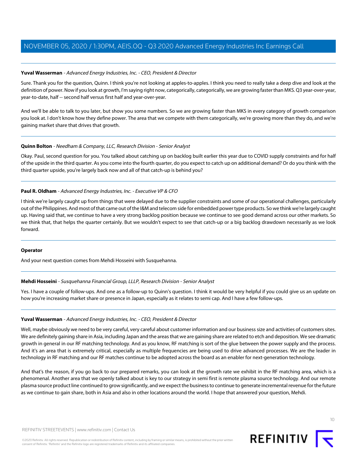### **Yuval Wasserman** - Advanced Energy Industries, Inc. - CEO, President & Director

Sure. Thank you for the question, Quinn. I think you're not looking at apples-to-apples. I think you need to really take a deep dive and look at the definition of power. Now if you look at growth, I'm saying right now, categorically, categorically, we are growing faster than MKS. Q3 year-over-year, year-to-date, half -- second half versus first half and year-over-year.

And we'll be able to talk to you later, but show you some numbers. So we are growing faster than MKS in every category of growth comparison you look at. I don't know how they define power. The area that we compete with them categorically, we're growing more than they do, and we're gaining market share that drives that growth.

### **Quinn Bolton** - Needham & Company, LLC, Research Division - Senior Analyst

Okay. Paul, second question for you. You talked about catching up on backlog built earlier this year due to COVID supply constraints and for half of the upside in the third quarter. As you come into the fourth quarter, do you expect to catch up on additional demand? Or do you think with the third quarter upside, you're largely back now and all of that catch-up is behind you?

### **Paul R. Oldham** - Advanced Energy Industries, Inc. - Executive VP & CFO

I think we're largely caught up from things that were delayed due to the supplier constraints and some of our operational challenges, particularly out of the Philippines. And most of that came out of the I&M and telecom side for embedded power type products. So we think we're largely caught up. Having said that, we continue to have a very strong backlog position because we continue to see good demand across our other markets. So we think that, that helps the quarter certainly. But we wouldn't expect to see that catch-up or a big backlog drawdown necessarily as we look forward.

### <span id="page-9-0"></span>**Operator**

And your next question comes from Mehdi Hosseini with Susquehanna.

### **Mehdi Hosseini** - Susquehanna Financial Group, LLLP, Research Division - Senior Analyst

Yes. I have a couple of follow-ups. And one as a follow-up to Quinn's question. I think it would be very helpful if you could give us an update on how you're increasing market share or presence in Japan, especially as it relates to semi cap. And I have a few follow-ups.

### **Yuval Wasserman** - Advanced Energy Industries, Inc. - CEO, President & Director

Well, maybe obviously we need to be very careful, very careful about customer information and our business size and activities of customers sites. We are definitely gaining share in Asia, including Japan and the areas that we are gaining share are related to etch and deposition. We see dramatic growth in general in our RF matching technology. And as you know, RF matching is sort of the glue between the power supply and the process. And it's an area that is extremely critical, especially as multiple frequencies are being used to drive advanced processes. We are the leader in technology in RF matching and our RF matches continue to be adopted across the board as an enabler for next-generation technology.

And that's the reason, if you go back to our prepared remarks, you can look at the growth rate we exhibit in the RF matching area, which is a phenomenal. Another area that we openly talked about is key to our strategy in semi first is remote plasma source technology. And our remote plasma source product line continued to grow significantly, and we expect the business to continue to generate incremental revenue for the future as we continue to gain share, both in Asia and also in other locations around the world. I hope that answered your question, Mehdi.



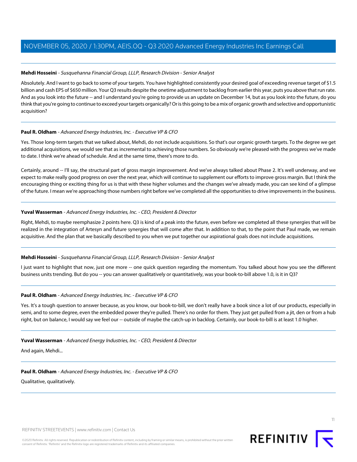### **Mehdi Hosseini** - Susquehanna Financial Group, LLLP, Research Division - Senior Analyst

Absolutely. And I want to go back to some of your targets. You have highlighted consistently your desired goal of exceeding revenue target of \$1.5 billion and cash EPS of \$650 million. Your Q3 results despite the onetime adjustment to backlog from earlier this year, puts you above that run rate. And as you look into the future -- and I understand you're going to provide us an update on December 14, but as you look into the future, do you think that you're going to continue to exceed your targets organically? Or is this going to be a mix of organic growth and selective and opportunistic acquisition?

### **Paul R. Oldham** - Advanced Energy Industries, Inc. - Executive VP & CFO

Yes. Those long-term targets that we talked about, Mehdi, do not include acquisitions. So that's our organic growth targets. To the degree we get additional acquisitions, we would see that as incremental to achieving those numbers. So obviously we're pleased with the progress we've made to date. I think we're ahead of schedule. And at the same time, there's more to do.

Certainly, around -- I'll say, the structural part of gross margin improvement. And we've always talked about Phase 2. It's well underway, and we expect to make really good progress on over the next year, which will continue to supplement our efforts to improve gross margin. But I think the encouraging thing or exciting thing for us is that with these higher volumes and the changes we've already made, you can see kind of a glimpse of the future. I mean we're approaching those numbers right before we've completed all the opportunities to drive improvements in the business.

### **Yuval Wasserman** - Advanced Energy Industries, Inc. - CEO, President & Director

Right, Mehdi, to maybe reemphasize 2 points here. Q3 is kind of a peak into the future, even before we completed all these synergies that will be realized in the integration of Artesyn and future synergies that will come after that. In addition to that, to the point that Paul made, we remain acquisitive. And the plan that we basically described to you when we put together our aspirational goals does not include acquisitions.

### **Mehdi Hosseini** - Susquehanna Financial Group, LLLP, Research Division - Senior Analyst

I just want to highlight that now, just one more -- one quick question regarding the momentum. You talked about how you see the different business units trending. But do you -- you can answer qualitatively or quantitatively, was your book-to-bill above 1.0, is it in Q3?

### **Paul R. Oldham** - Advanced Energy Industries, Inc. - Executive VP & CFO

Yes. It's a tough question to answer because, as you know, our book-to-bill, we don't really have a book since a lot of our products, especially in semi, and to some degree, even the embedded power they're pulled. There's no order for them. They just get pulled from a jit, den or from a hub right, but on balance, I would say we feel our -- outside of maybe the catch-up in backlog. Certainly, our book-to-bill is at least 1.0 higher.

### **Yuval Wasserman** - Advanced Energy Industries, Inc. - CEO, President & Director

And again, Mehdi...

### **Paul R. Oldham** - Advanced Energy Industries, Inc. - Executive VP & CFO

Qualitative, qualitatively.

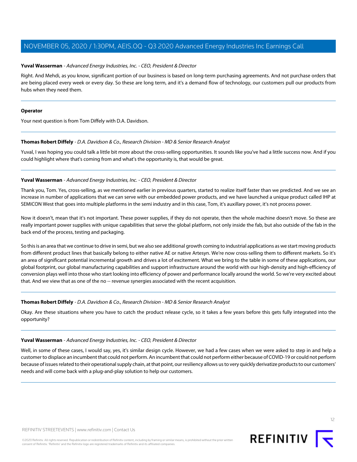### **Yuval Wasserman** - Advanced Energy Industries, Inc. - CEO, President & Director

Right. And Mehdi, as you know, significant portion of our business is based on long-term purchasing agreements. And not purchase orders that are being placed every week or every day. So these are long term, and it's a demand flow of technology, our customers pull our products from hubs when they need them.

### **Operator**

<span id="page-11-0"></span>Your next question is from Tom Diffely with D.A. Davidson.

### **Thomas Robert Diffely** - D.A. Davidson & Co., Research Division - MD & Senior Research Analyst

Yuval, I was hoping you could talk a little bit more about the cross-selling opportunities. It sounds like you've had a little success now. And if you could highlight where that's coming from and what's the opportunity is, that would be great.

### **Yuval Wasserman** - Advanced Energy Industries, Inc. - CEO, President & Director

Thank you, Tom. Yes, cross-selling, as we mentioned earlier in previous quarters, started to realize itself faster than we predicted. And we see an increase in number of applications that we can serve with our embedded power products, and we have launched a unique product called IHP at SEMICON West that goes into multiple platforms in the semi industry and in this case, Tom, it's auxillary power, it's not process power.

Now it doesn't, mean that it's not important. These power supplies, if they do not operate, then the whole machine doesn't move. So these are really important power supplies with unique capabilities that serve the global platform, not only inside the fab, but also outside of the fab in the back end of the process, testing and packaging.

So this is an area that we continue to drive in semi, but we also see additional growth coming to industrial applications as we start moving products from different product lines that basically belong to either native AE or native Artesyn. We're now cross-selling them to different markets. So it's an area of significant potential incremental growth and drives a lot of excitement. What we bring to the table in some of these applications, our global footprint, our global manufacturing capabilities and support infrastructure around the world with our high-density and high-efficiency of conversion plays well into those who start looking into efficiency of power and performance locally around the world. So we're very excited about that. And we view that as one of the no -- revenue synergies associated with the recent acquisition.

### **Thomas Robert Diffely** - D.A. Davidson & Co., Research Division - MD & Senior Research Analyst

Okay. Are these situations where you have to catch the product release cycle, so it takes a few years before this gets fully integrated into the opportunity?

### **Yuval Wasserman** - Advanced Energy Industries, Inc. - CEO, President & Director

Well, in some of these cases, I would say, yes, it's similar design cycle. However, we had a few cases when we were asked to step in and help a customer to displace an incumbent that could not perform. An incumbent that could not perform either because of COVID-19 or could not perform because of issues related to their operational supply chain, at that point, our resiliency allows us to very quickly derivatize products to our customers' needs and will come back with a plug-and-play solution to help our customers.

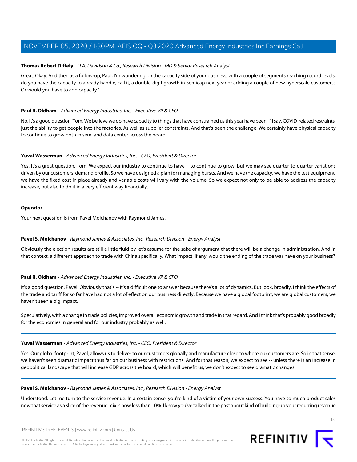### **Thomas Robert Diffely** - D.A. Davidson & Co., Research Division - MD & Senior Research Analyst

Great. Okay. And then as a follow-up, Paul, I'm wondering on the capacity side of your business, with a couple of segments reaching record levels, do you have the capacity to already handle, call it, a double-digit growth in Semicap next year or adding a couple of new hyperscale customers? Or would you have to add capacity?

### **Paul R. Oldham** - Advanced Energy Industries, Inc. - Executive VP & CFO

No. It's a good question, Tom. We believe we do have capacity to things that have constrained us this year have been, I'll say, COVID-related restraints, just the ability to get people into the factories. As well as supplier constraints. And that's been the challenge. We certainly have physical capacity to continue to grow both in semi and data center across the board.

### **Yuval Wasserman** - Advanced Energy Industries, Inc. - CEO, President & Director

Yes. It's a great question, Tom. We expect our industry to continue to have -- to continue to grow, but we may see quarter-to-quarter variations driven by our customers' demand profile. So we have designed a plan for managing bursts. And we have the capacity, we have the test equipment, we have the fixed cost in place already and variable costs will vary with the volume. So we expect not only to be able to address the capacity increase, but also to do it in a very efficient way financially.

### **Operator**

<span id="page-12-0"></span>Your next question is from Pavel Molchanov with Raymond James.

### **Pavel S. Molchanov** - Raymond James & Associates, Inc., Research Division - Energy Analyst

Obviously the election results are still a little fluid by let's assume for the sake of argument that there will be a change in administration. And in that context, a different approach to trade with China specifically. What impact, if any, would the ending of the trade war have on your business?

### **Paul R. Oldham** - Advanced Energy Industries, Inc. - Executive VP & CFO

It's a good question, Pavel. Obviously that's -- it's a difficult one to answer because there's a lot of dynamics. But look, broadly, I think the effects of the trade and tariff for so far have had not a lot of effect on our business directly. Because we have a global footprint, we are global customers, we haven't seen a big impact.

Speculatively, with a change in trade policies, improved overall economic growth and trade in that regard. And I think that's probably good broadly for the economies in general and for our industry probably as well.

### **Yuval Wasserman** - Advanced Energy Industries, Inc. - CEO, President & Director

Yes. Our global footprint, Pavel, allows us to deliver to our customers globally and manufacture close to where our customers are. So in that sense, we haven't seen dramatic impact thus far on our business with restrictions. And for that reason, we expect to see -- unless there is an increase in geopolitical landscape that will increase GDP across the board, which will benefit us, we don't expect to see dramatic changes.

### **Pavel S. Molchanov** - Raymond James & Associates, Inc., Research Division - Energy Analyst

Understood. Let me turn to the service revenue. In a certain sense, you're kind of a victim of your own success. You have so much product sales now that service as a slice of the revenue mix is now less than 10%. I know you've talked in the past about kind of building up your recurring revenue

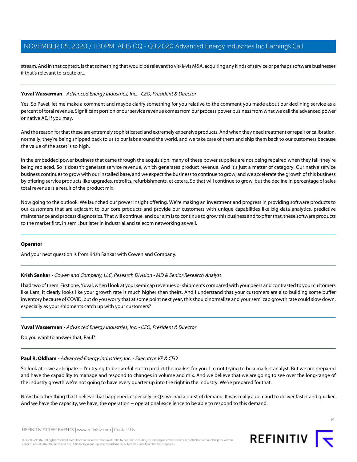stream. And in that context, is that something that would be relevant to vis-à-vis M&A, acquiring any kinds of service or perhaps software businesses if that's relevant to create or...

### **Yuval Wasserman** - Advanced Energy Industries, Inc. - CEO, President & Director

Yes. So Pavel, let me make a comment and maybe clarify something for you relative to the comment you made about our declining service as a percent of total revenue. Significant portion of our service revenue comes from our process power business from what we call the advanced power or native AE, if you may.

And the reason for that these are extremely sophisticated and extremely expensive products. And when they need treatment or repair or calibration, normally, they're being shipped back to us to our labs around the world, and we take care of them and ship them back to our customers because the value of the asset is so high.

In the embedded power business that came through the acquisition, many of these power supplies are not being repaired when they fail, they're being replaced. So it doesn't generate service revenue, which generates product revenue. And it's just a matter of category. Our native service business continues to grow with our installed base, and we expect the business to continue to grow, and we accelerate the growth of this business by offering service products like upgrades, retrofits, refurbishments, et cetera. So that will continue to grow, but the decline in percentage of sales total revenue is a result of the product mix.

Now going to the outlook. We launched our power insight offering. We're making an investment and progress in providing software products to our customers that are adjacent to our core products and provide our customers with unique capabilities like big data analytics, predictive maintenance and process diagnostics. That will continue, and our aim is to continue to grow this business and to offer that, these software products to the market first, in semi, but later in industrial and telecom networking as well.

### <span id="page-13-0"></span>**Operator**

And your next question is from Krish Sankar with Cowen and Company.

### **Krish Sankar** - Cowen and Company, LLC, Research Division - MD & Senior Research Analyst

I had two of them. First one, Yuval, when I look at your semi cap revenues or shipments compared with your peers and contrasted to your customers like Lam, it clearly looks like your growth rate is much higher than theirs. And I understand that your customers are also building some buffer inventory because of COVID, but do you worry that at some point next year, this should normalize and your semi cap growth rate could slow down, especially as your shipments catch up with your customers?

### **Yuval Wasserman** - Advanced Energy Industries, Inc. - CEO, President & Director

Do you want to answer that, Paul?

### **Paul R. Oldham** - Advanced Energy Industries, Inc. - Executive VP & CFO

So look at -- we anticipate -- I'm trying to be careful not to predict the market for you. I'm not trying to be a market analyst. But we are prepared and have the capability to manage and respond to changes in volume and mix. And we believe that we are going to see over the long-range of the industry growth we're not going to have every quarter up into the right in the industry. We're prepared for that.

Now the other thing that I believe that happened, especially in Q3, we had a burst of demand. It was really a demand to deliver faster and quicker. And we have the capacity, we have, the operation -- operational excellence to be able to respond to this demand.

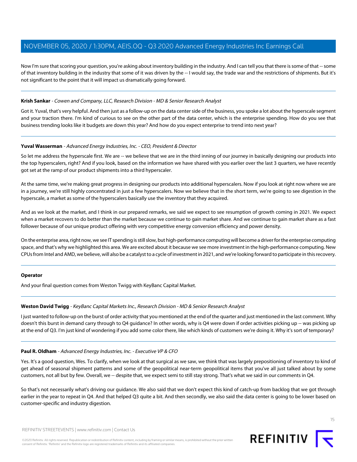Now I'm sure that scoring your question, you're asking about inventory building in the industry. And I can tell you that there is some of that -- some of that inventory building in the industry that some of it was driven by the -- I would say, the trade war and the restrictions of shipments. But it's not significant to the point that it will impact us dramatically going forward.

### **Krish Sankar** - Cowen and Company, LLC, Research Division - MD & Senior Research Analyst

Got it. Yuval, that's very helpful. And then just as a follow-up on the data center side of the business, you spoke a lot about the hyperscale segment and your traction there. I'm kind of curious to see on the other part of the data center, which is the enterprise spending. How do you see that business trending looks like it budgets are down this year? And how do you expect enterprise to trend into next year?

### **Yuval Wasserman** - Advanced Energy Industries, Inc. - CEO, President & Director

So let me address the hyperscale first. We are -- we believe that we are in the third inning of our journey in basically designing our products into the top hyperscalers, right? And if you look, based on the information we have shared with you earlier over the last 3 quarters, we have recently got set at the ramp of our product shipments into a third hyperscaler.

At the same time, we're making great progress in designing our products into additional hyperscalers. Now if you look at right now where we are in a journey, we're still highly concentrated in just a few hyperscalers. Now we believe that in the short term, we're going to see digestion in the hyperscale, a market as some of the hyperscalers basically use the inventory that they acquired.

And as we look at the market, and I think in our prepared remarks, we said we expect to see resumption of growth coming in 2021. We expect when a market recovers to do better than the market because we continue to gain market share. And we continue to gain market share as a fast follower because of our unique product offering with very competitive energy conversion efficiency and power density.

On the enterprise area, right now, we see IT spending is still slow, but high-performance computing will become a driver for the enterprise computing space, and that's why we highlighted this area. We are excited about it because we see more investment in the high-performance computing. New CPUs from Intel and AMD, we believe, will also be a catalyst to a cycle of investment in 2021, and we're looking forward to participate in this recovery.

### <span id="page-14-0"></span>**Operator**

And your final question comes from Weston Twigg with KeyBanc Capital Market.

### **Weston David Twigg** - KeyBanc Capital Markets Inc., Research Division - MD & Senior Research Analyst

I just wanted to follow-up on the burst of order activity that you mentioned at the end of the quarter and just mentioned in the last comment. Why doesn't this burst in demand carry through to Q4 guidance? In other words, why is Q4 were down if order activities picking up -- was picking up at the end of Q3. I'm just kind of wondering if you add some color there, like which kinds of customers we're doing it. Why it's sort of temporary?

### **Paul R. Oldham** - Advanced Energy Industries, Inc. - Executive VP & CFO

Yes. It's a good question, Wes. To clarify, when we look at that surgical as we saw, we think that was largely prepositioning of inventory to kind of get ahead of seasonal shipment patterns and some of the geopolitical near-term geopolitical items that you've all just talked about by some customers, not all but by few. Overall, we -- despite that, we expect semi to still stay strong. That's what we said in our comments in Q4.

So that's not necessarily what's driving our guidance. We also said that we don't expect this kind of catch-up from backlog that we got through earlier in the year to repeat in Q4. And that helped Q3 quite a bit. And then secondly, we also said the data center is going to be lower based on customer-specific and industry digestion.

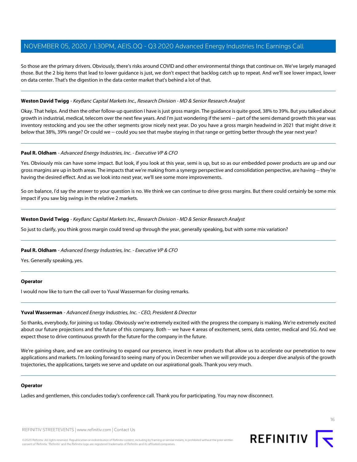So those are the primary drivers. Obviously, there's risks around COVID and other environmental things that continue on. We've largely managed those. But the 2 big items that lead to lower guidance is just, we don't expect that backlog catch up to repeat. And we'll see lower impact, lower on data center. That's the digestion in the data center market that's behind a lot of that.

### **Weston David Twigg** - KeyBanc Capital Markets Inc., Research Division - MD & Senior Research Analyst

Okay. That helps. And then the other follow-up question I have is just gross margin. The guidance is quite good, 38% to 39%. But you talked about growth in industrial, medical, telecom over the next few years. And I'm just wondering if the semi -- part of the semi demand growth this year was inventory restocking and you see the other segments grow nicely next year. Do you have a gross margin headwind in 2021 that might drive it below that 38%, 39% range? Or could we -- could you see that maybe staying in that range or getting better through the year next year?

### **Paul R. Oldham** - Advanced Energy Industries, Inc. - Executive VP & CFO

Yes. Obviously mix can have some impact. But look, if you look at this year, semi is up, but so as our embedded power products are up and our gross margins are up in both areas. The impacts that we're making from a synergy perspective and consolidation perspective, are having -- they're having the desired effect. And as we look into next year, we'll see some more improvements.

So on balance, I'd say the answer to your question is no. We think we can continue to drive gross margins. But there could certainly be some mix impact if you saw big swings in the relative 2 markets.

### **Weston David Twigg** - KeyBanc Capital Markets Inc., Research Division - MD & Senior Research Analyst

So just to clarify, you think gross margin could trend up through the year, generally speaking, but with some mix variation?

### **Paul R. Oldham** - Advanced Energy Industries, Inc. - Executive VP & CFO

Yes. Generally speaking, yes.

### **Operator**

I would now like to turn the call over to Yuval Wasserman for closing remarks.

### **Yuval Wasserman** - Advanced Energy Industries, Inc. - CEO, President & Director

So thanks, everybody, for joining us today. Obviously we're extremely excited with the progress the company is making. We're extremely excited about our future projections and the future of this company. Both -- we have 4 areas of excitement, semi, data center, medical and 5G. And we expect those to drive continuous growth for the future for the company in the future.

We're gaining share, and we are continuing to expand our presence, invest in new products that allow us to accelerate our penetration to new applications and markets. I'm looking forward to seeing many of you in December when we will provide you a deeper dive analysis of the growth trajectories, the applications, targets we serve and update on our aspirational goals. Thank you very much.

### **Operator**

Ladies and gentlemen, this concludes today's conference call. Thank you for participating. You may now disconnect.

REFINITIV STREETEVENTS | [www.refinitiv.com](https://www.refinitiv.com/) | [Contact Us](https://www.refinitiv.com/en/contact-us)